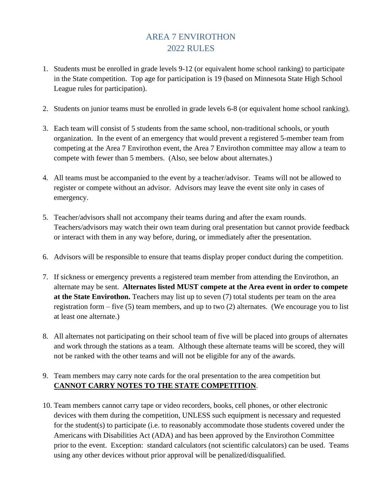## AREA 7 ENVIROTHON 2022 RULES

- 1. Students must be enrolled in grade levels 9-12 (or equivalent home school ranking) to participate in the State competition. Top age for participation is 19 (based on Minnesota State High School League rules for participation).
- 2. Students on junior teams must be enrolled in grade levels 6-8 (or equivalent home school ranking).
- 3. Each team will consist of 5 students from the same school, non-traditional schools, or youth organization. In the event of an emergency that would prevent a registered 5-member team from competing at the Area 7 Envirothon event, the Area 7 Envirothon committee may allow a team to compete with fewer than 5 members. (Also, see below about alternates.)
- 4. All teams must be accompanied to the event by a teacher/advisor. Teams will not be allowed to register or compete without an advisor. Advisors may leave the event site only in cases of emergency.
- 5. Teacher/advisors shall not accompany their teams during and after the exam rounds. Teachers/advisors may watch their own team during oral presentation but cannot provide feedback or interact with them in any way before, during, or immediately after the presentation.
- 6. Advisors will be responsible to ensure that teams display proper conduct during the competition.
- 7. If sickness or emergency prevents a registered team member from attending the Envirothon, an alternate may be sent. **Alternates listed MUST compete at the Area event in order to compete at the State Envirothon.** Teachers may list up to seven (7) total students per team on the area registration form – five (5) team members, and up to two (2) alternates. (We encourage you to list at least one alternate.)
- 8. All alternates not participating on their school team of five will be placed into groups of alternates and work through the stations as a team. Although these alternate teams will be scored, they will not be ranked with the other teams and will not be eligible for any of the awards.
- 9. Team members may carry note cards for the oral presentation to the area competition but **CANNOT CARRY NOTES TO THE STATE COMPETITION**.
- 10. Team members cannot carry tape or video recorders, books, cell phones, or other electronic devices with them during the competition, UNLESS such equipment is necessary and requested for the student(s) to participate (i.e. to reasonably accommodate those students covered under the Americans with Disabilities Act (ADA) and has been approved by the Envirothon Committee prior to the event. Exception: standard calculators (not scientific calculators) can be used. Teams using any other devices without prior approval will be penalized/disqualified.